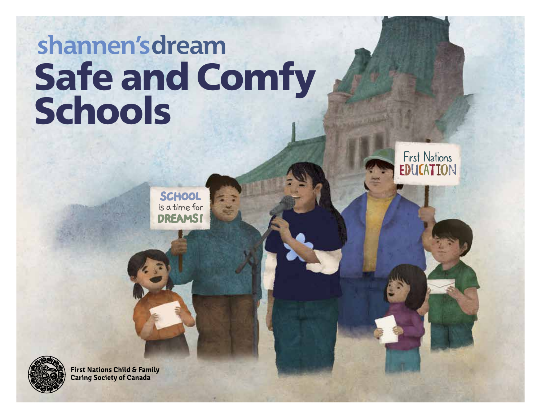# shannen'sdream Safe and Comfy Schools



**SCHOOL** is a time for **DREAMS!**



**First Nations Child & Family Caring Society of Canada**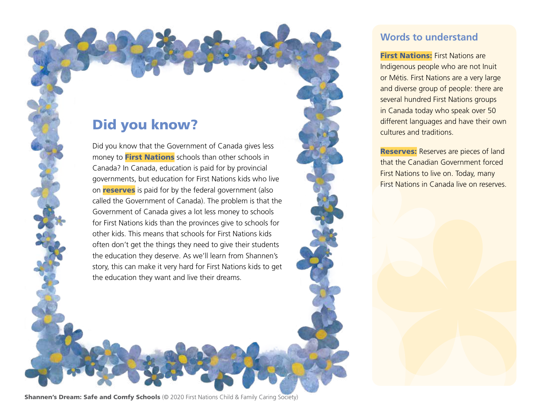### Did you know?

Did you know that the Government of Canada gives less money to **First Nations** schools than other schools in Canada? In Canada, education is paid for by provincial governments, but education for First Nations kids who live on **reserves** is paid for by the federal government (also called the Government of Canada). The problem is that the Government of Canada gives a lot less money to schools for First Nations kids than the provinces give to schools for other kids. This means that schools for First Nations kids often don't get the things they need to give their students the education they deserve. As we'll learn from Shannen's story, this can make it very hard for First Nations kids to get the education they want and live their dreams.

#### **Words to understand**

**First Nations:** First Nations are Indigenous people who are not Inuit or Métis. First Nations are a very large and diverse group of people: there are several hundred First Nations groups in Canada today who speak over 50 different languages and have their own cultures and traditions.

**Reserves:** Reserves are pieces of land that the Canadian Government forced First Nations to live on. Today, many First Nations in Canada live on reserves.

**Shannen's Dream: Safe and Comfy Schools** (© 2020 First Nations Child & Family Caring Society)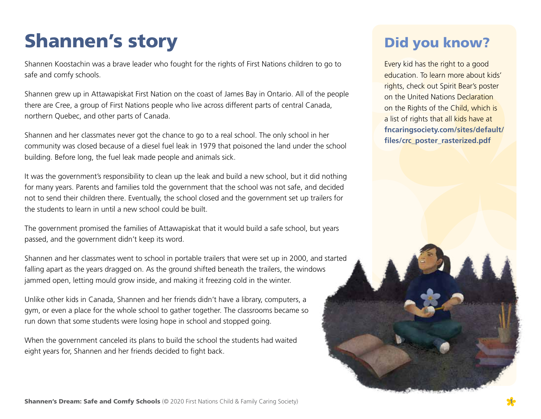# Shannen's story

Shannen Koostachin was a brave leader who fought for the rights of First Nations children to go to safe and comfy schools.

Shannen grew up in Attawapiskat First Nation on the coast of James Bay in Ontario. All of the people there are Cree, a group of First Nations people who live across different parts of central Canada, northern Quebec, and other parts of Canada.

Shannen and her classmates never got the chance to go to a real school. The only school in her community was closed because of a diesel fuel leak in 1979 that poisoned the land under the school building. Before long, the fuel leak made people and animals sick.

It was the government's responsibility to clean up the leak and build a new school, but it did nothing for many years. Parents and families told the government that the school was not safe, and decided not to send their children there. Eventually, the school closed and the government set up trailers for the students to learn in until a new school could be built.

The government promised the families of Attawapiskat that it would build a safe school, but years passed, and the government didn't keep its word.

Shannen and her classmates went to school in portable trailers that were set up in 2000, and started falling apart as the years dragged on. As the ground shifted beneath the trailers, the windows jammed open, letting mould grow inside, and making it freezing cold in the winter.

Unlike other kids in Canada, Shannen and her friends didn't have a library, computers, a gym, or even a place for the whole school to gather together. The classrooms became so run down that some students were losing hope in school and stopped going.

When the government canceled its plans to build the school the students had waited eight years for, Shannen and her friends decided to fight back.

# Did you know?

Every kid has the right to a good education. To learn more about kids' rights, check out Spirit Bear's poster on the United Nations Declaration on the Rights of the Child, which is a list of rights that all kids have at **fncaringsociety.com/sites/default/ files/crc\_poster\_rasterized.pdf**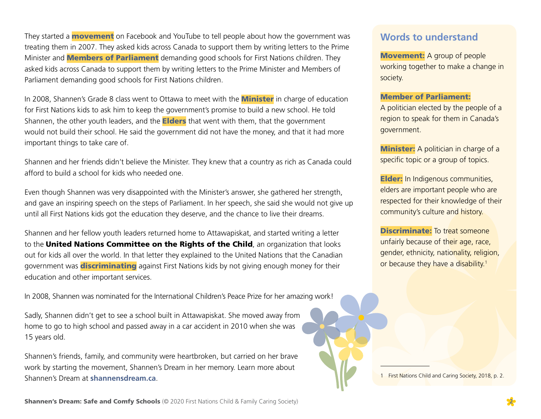They started a **movement** on Facebook and YouTube to tell people about how the government was treating them in 2007. They asked kids across Canada to support them by writing letters to the Prime Minister and **Members of Parliament** demanding good schools for First Nations children. They asked kids across Canada to support them by writing letters to the Prime Minister and Members of Parliament demanding good schools for First Nations children.

In 2008, Shannen's Grade 8 class went to Ottawa to meet with the **Minister** in charge of education for First Nations kids to ask him to keep the government's promise to build a new school. He told Shannen, the other youth leaders, and the **Elders** that went with them, that the government would not build their school. He said the government did not have the money, and that it had more important things to take care of.

Shannen and her friends didn't believe the Minister. They knew that a country as rich as Canada could afford to build a school for kids who needed one.

Even though Shannen was very disappointed with the Minister's answer, she gathered her strength, and gave an inspiring speech on the steps of Parliament. In her speech, she said she would not give up until all First Nations kids got the education they deserve, and the chance to live their dreams.

Shannen and her fellow youth leaders returned home to Attawapiskat, and started writing a letter to the United Nations Committee on the Rights of the Child, an organization that looks out for kids all over the world. In that letter they explained to the United Nations that the Canadian government was **discriminating** against First Nations kids by not giving enough money for their education and other important services.

In 2008, Shannen was nominated for the International Children's Peace Prize for her amazing work!

Sadly, Shannen didn't get to see a school built in Attawapiskat. She moved away from home to go to high school and passed away in a car accident in 2010 when she was 15 years old.

Shannen's friends, family, and community were heartbroken, but carried on her brave work by starting the movement, Shannen's Dream in her memory. Learn more about Shannen's Dream at **shannensdream.ca**.

#### **Words to understand**

**Movement:** A group of people working together to make a change in society.

#### Member of Parliament:

A politician elected by the people of a region to speak for them in Canada's government.

**Minister:** A politician in charge of a specific topic or a group of topics.

**Elder:** In Indigenous communities, elders are important people who are respected for their knowledge of their community's culture and history.

**Discriminate:** To treat someone unfairly because of their age, race, gender, ethnicity, nationality, religion, or because they have a disability.<sup>1</sup>

1 First Nations Child and Caring Society, 2018, p. 2.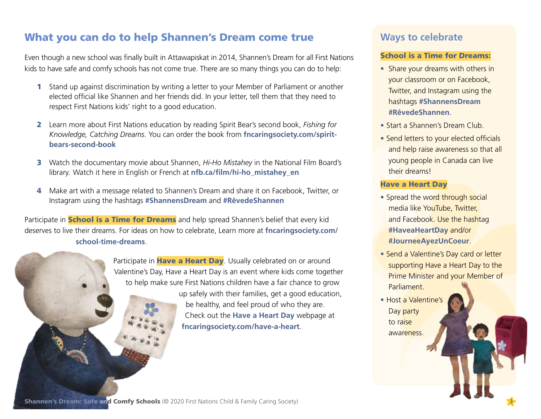#### What you can do to help Shannen's Dream come true

Even though a new school was finally built in Attawapiskat in 2014, Shannen's Dream for all First Nations kids to have safe and comfy schools has not come true. There are so many things you can do to help:

- 1 Stand up against discrimination by writing a letter to your Member of Parliament or another elected official like Shannen and her friends did. In your letter, tell them that they need to respect First Nations kids' right to a good education.
- 2 Learn more about First Nations education by reading Spirit Bear's second book, *Fishing for Knowledge, Catching Dreams.* You can order the book from **[fncaringsociety.com/spirit](https://fncaringsociety.com/spirit-bears-second-book)[bears-second-book](https://fncaringsociety.com/spirit-bears-second-book)**
- 3 Watch the documentary movie about Shannen, *Hi-Ho Mistahey* in the National Film Board's library*.* Watch it here in English or French at **[nfb.ca/film/hi-ho\\_mistahey\\_en](https://www.nfb.ca/film/hi-ho_mistahey_en/)**
- 4 Make art with a message related to Shannen's Dream and share it on Facebook, Twitter, or Instagram using the hashtags **#ShannensDream** and **#RêvedeShannen**

Participate in **School is a Time for Dreams** and help spread Shannen's belief that every kid deserves to live their dreams. For ideas on how to celebrate, Learn more at **fncaringsociety.com/ school-time-dreams**.

> Participate in Have a Heart Day. Usually celebrated on or around Valentine's Day, Have a Heart Day is an event where kids come together to help make sure First Nations children have a fair chance to grow up safely with their families, get a good education,

be healthy, and feel proud of who they are. Check out the **[Have a Heart Day](https://fncaringsociety.com/have-a-heart)** webpage at **fncaringsociety.com/have-a-heart**.

#### **Ways to celebrate**

#### School is a Time for Dreams:

- Share your dreams with others in your classroom or on Facebook, Twitter, and Instagram using the hashtags **#ShannensDream #RêvedeShannen**.
- Start a Shannen's Dream Club.
- Send letters to your elected officials and help raise awareness so that all young people in Canada can live their dreams!

#### Have a Heart Day

- Spread the word through social media like YouTube, Twitter, and Facebook. Use the hashtag **#HaveaHeartDay** and/or **#JourneeAyezUnCoeur**.
- Send a Valentine's Day card or letter supporting Have a Heart Day to the Prime Minister and your Member of **Parliament**
- Host a Valentine's Day party to raise awareness.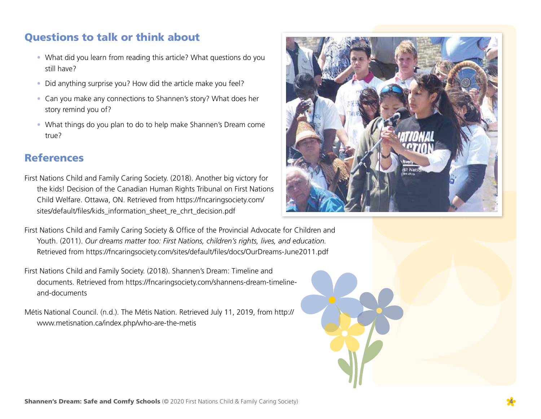#### Questions to talk or think about

- What did you learn from reading this article? What questions do you still have?
- Did anything surprise you? How did the article make you feel?
- Can you make any connections to Shannen's story? What does her story remind you of?
- What things do you plan to do to help make Shannen's Dream come true?

#### References

- First Nations Child and Family Caring Society. (2018). Another big victory for the kids! Decision of the Canadian Human Rights Tribunal on First Nations Child Welfare. Ottawa, ON. Retrieved from [https://fncaringsociety.com/](https://fncaringsociety.com/sites/default/files/kids_information_sheet_re_chrt_decision.pdf) [sites/default/files/kids\\_information\\_sheet\\_re\\_chrt\\_decision.pdf](https://fncaringsociety.com/sites/default/files/kids_information_sheet_re_chrt_decision.pdf)
- First Nations Child and Family Caring Society & Office of the Provincial Advocate for Children and Youth. (2011). *Our dreams matter too: First Nations, children's rights, lives, and education.*  Retrieved from <https://fncaringsociety.com/sites/default/files/docs/OurDreams-June2011.pdf>
- First Nations Child and Family Society. (2018). Shannen's Dream: Timeline and documents. Retrieved from [https://fncaringsociety.com/shannens-dream-timeline](https://fncaringsociety.com/shannens-dream-timeline-and-documents)[and-documents](https://fncaringsociety.com/shannens-dream-timeline-and-documents)

Métis National Council. (n.d.). The Métis Nation. Retrieved July 11, 2019, from [http://](http://www.metisnation.ca/index.php/who-are-the-metis) [www.metisnation.ca/index.php/who-are-the-metis](http://www.metisnation.ca/index.php/who-are-the-metis)